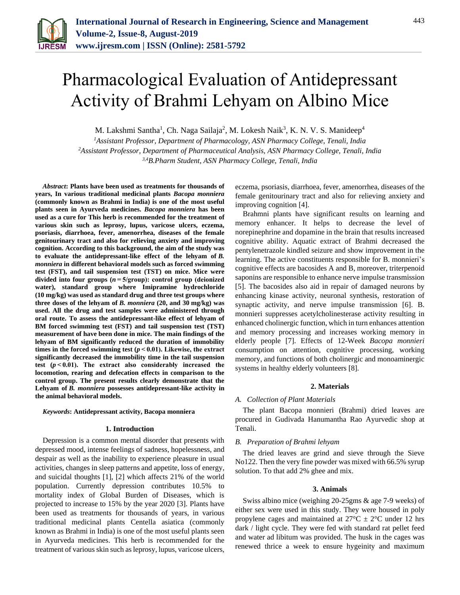

# Pharmacological Evaluation of Antidepressant Activity of Brahmi Lehyam on Albino Mice

M. Lakshmi Santha<sup>1</sup>, Ch. Naga Sailaja<sup>2</sup>, M. Lokesh Naik<sup>3</sup>, K. N. V. S. Manideep<sup>4</sup>

*<sup>1</sup>Assistant Professor, Department of Pharmacology, ASN Pharmacy College, Tenali, India <sup>2</sup>Assistant Professor, Department of Pharmaceutical Analysis, ASN Pharmacy College, Tenali, India 3,4B.Pharm Student, ASN Pharmacy College, Tenali, India*

*Abstract***: Plants have been used as treatments for thousands of years, In various traditional medicinal plants** *Bacopa monniera* **(commonly known as Brahmi in India) is one of the most useful plants seen in Ayurveda medicines.** *Bacopa monniera* **has been used as a cure for This herb is recommended for the treatment of various skin such as leprosy, lupus, varicose ulcers, eczema, psoriasis, diarrhoea, fever, amenorrhea, diseases of the female genitourinary tract and also for relieving anxiety and improving cognition. According to this background, the aim of the study was to evaluate the antidepressant-like effect of the lehyam of** *B. monniera* **in different behavioral models such as forced swimming test (FST), and tail suspension test (TST) on mice. Mice were divided into four groups (***n***= 5/group): control group (deionized water), standard group where Imipramine hydrochloride (10 mg/kg) was used as standard drug and three test groups where three doses of the lehyam of** *B. monniera* **(20, and 30 mg/kg) was used. All the drug and test samples were administered through oral route. To assess the antidepressant-like effect of lehyam of BM forced swimming test (FST) and tail suspension test (TST) measurement of have been done in mice. The main findings of the lehyam of BM significantly reduced the duration of immobility times in the forced swimming test (***p***< 0.01). Likewise, the extract significantly decreased the immobility time in the tail suspension test (***p***< 0.01). The extract also considerably increased the locomotion, rearing and defecation effects in comparison to the control group. The present results clearly demonstrate that the Lehyam of** *B. monniera* **possesses antidepressant-like activity in the animal behavioral models.**

#### *Keywords***: Antidepressant activity, Bacopa monniera**

#### **1. Introduction**

Depression is a common mental disorder that presents with depressed mood, intense feelings of sadness, hopelessness, and despair as well as the inability to experience pleasure in usual activities, changes in sleep patterns and appetite, loss of energy, and suicidal thoughts [1], [2] which affects 21% of the world population. Currently depression contributes 10.5% to mortality index of Global Burden of Diseases, which is projected to increase to 15% by the year 2020 [3]. Plants have been used as treatments for thousands of years, in various traditional medicinal plants Centella asiatica (commonly known as Brahmi in India) is one of the most useful plants seen in Ayurveda medicines. This herb is recommended for the treatment of various skin such asleprosy, lupus, varicose ulcers,

eczema, psoriasis, diarrhoea, fever, amenorrhea, diseases of the female genitourinary tract and also for relieving anxiety and improving cognition [4].

Brahmni plants have significant results on learning and memory enhancer. It helps to decrease the level of norepinephrine and dopamine in the brain that results increased cognitive ability. Aquatic extract of Brahmi decreased the pentylenetrazole kindled seizure and show improvement in the learning. The active constituents responsible for B. monnieri's cognitive effects are bacosides A and B, moreover, triterpenoid saponins are responsible to enhance nerve impulse transmission [5]. The bacosides also aid in repair of damaged neurons by enhancing kinase activity, neuronal synthesis, restoration of synaptic activity, and nerve impulse transmission [6]. B. monnieri suppresses acetylcholinesterase activity resulting in enhanced cholinergic function, which in turn enhances attention and memory processing and increases working memory in elderly people [7]. Effects of 12-Week *Bacopa monnieri*  consumption on attention, cognitive processing, working memory, and functions of both cholinergic and monoaminergic systems in healthy elderly volunteers [8].

## **2. Materials**

### *A. Collection of Plant Materials*

The plant Bacopa monnieri (Brahmi) dried leaves are procured in Gudivada Hanumantha Rao Ayurvedic shop at Tenali.

#### *B. Preparation of Brahmi lehyam*

The dried leaves are grind and sieve through the Sieve No122. Then the very fine powder was mixed with 66.5% syrup solution. To that add 2% ghee and mix.

#### **3. Animals**

Swiss albino mice (weighing 20-25gms & age 7-9 weeks) of either sex were used in this study. They were housed in poly propylene cages and maintained at  $27^{\circ}$ C  $\pm$  2°C under 12 hrs dark / light cycle. They were fed with standard rat pellet feed and water ad libitum was provided. The husk in the cages was renewed thrice a week to ensure hygeinity and maximum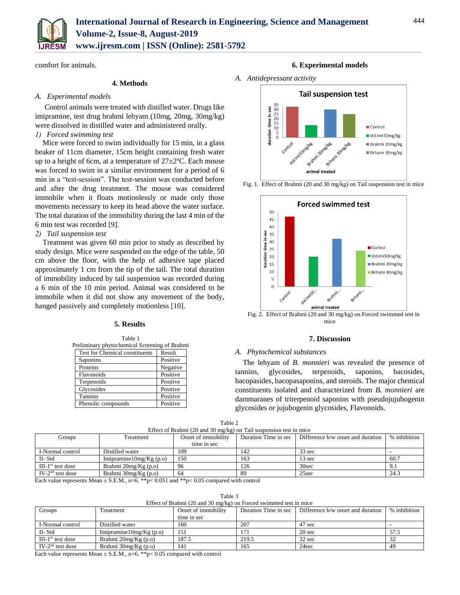

comfort for animals.

## **4. Methods**

## *A. Experimental models*

Control animals were treated with distilled water. Drugs like imipramine, test drug brahmi lehyam (10mg, 20mg, 30mg/kg) were dissolved in distilled water and administered orally.

# *1) Forced swimming test*

Mice were forced to swim individually for 15 min, in a glass beaker of 11cm diameter, 15cm height containing fresh water up to a height of 6cm, at a temperature of  $27 \pm 2$ °C. Each mouse was forced to swim in a similar environment for a period of 6 min in a "test-session". The test-session was conducted before and after the drug treatment. The mouse was considered immobile when it floats motionlessly or made only those movements necessary to keep its head above the water surface. The total duration of the immobility during the last 4 min of the 6 min test was recorded [9].

# *2) Tail suspension test*

Treatment was given 60 min prior to study as described by study design. Mice were suspended on the edge of the table, 50 cm above the floor, with the help of adhesive tape placed approximately 1 cm from the tip of the tail. The total duration of immobility induced by tail suspension was recorded during a 6 min of the 10 min period. Animal was considered to be immobile when it did not show any movement of the body, hanged passively and completely motionless [10].

# **5. Results**

Table 1 Preliminary phytochemical Screening of Brahmi Test for Chemical constituents Result Saponins Positive Proteins Negative Flavonoids Positive Terpenoids Positive

Glycosides Positive Tannins Positive Phenolic compounds Positive

# **6. Experimental models**

*A. Antidepressant activity*





Fig. 2. Effect of Brahmi (20 and 30 mg/kg) on Forced swimmed test in mice

# **7. Discussion**

## *A. Phytochemical substances*

The lehyam of *B. monnieri* was revealed the presence of tannins, glycosides, terpenoids, saponins, bacosides, bacopasides, bacopasaponins, and steroids. The major chemical constituents isolated and characterized from *B. monnieri* are dammaranes of triterpenoid saponins with pseudojujubogenin glycosides or jujubogenin glycosides, Flavonoids.

| וו<br>эΓ |  |
|----------|--|
|----------|--|

| Effect of Brahmi $(20 \text{ and } 30 \text{ mg/kg})$ on Tail suspension test in mice |                           |                     |                      |                                   |              |  |  |  |
|---------------------------------------------------------------------------------------|---------------------------|---------------------|----------------------|-----------------------------------|--------------|--|--|--|
| Groups                                                                                | Treatment                 | Onset of immobility | Duration Time in sec | Difference b/w onset and duration | % inhibition |  |  |  |
|                                                                                       |                           | time in sec         |                      |                                   |              |  |  |  |
| I-Normal control                                                                      | Distilled water           | 109                 | 142                  | $33 \text{ sec}$                  |              |  |  |  |
| II-Std                                                                                | Imipramine $10mg/Kg(p.o)$ | 150                 | 163                  | 13 sec                            | 60.7         |  |  |  |
| $III-1st$ test dose                                                                   | Brahmi $20mg/Kg(p.o)$     | 96                  | 126                  | 30sec                             | 9.1          |  |  |  |
| $IV-2nd$ test dose                                                                    | Brahmi 30mg/Kg (p.o)      | 64                  | 89                   | 25sec                             | 24.3         |  |  |  |

Each value represents Mean ± S.E.M., n=6. \*\*p< 0.051 and \*\*p< 0.05 compared with control

| Table 3                                                           |  |
|-------------------------------------------------------------------|--|
| Effect of Brahmi (20 and 30 mg/kg) on Forced swimmed test in mice |  |

| Groups              | <b>Treatment</b>          | Onset of immobility | Duration Time in sec | Difference b/w onset and duration | % inhibition |
|---------------------|---------------------------|---------------------|----------------------|-----------------------------------|--------------|
|                     |                           | time in sec         |                      |                                   |              |
| I-Normal control    | Distilled water           | 160                 | 207                  | 47 sec                            |              |
| II-Std              | Imipramine $10mg/Kg(p.o)$ | 151                 | 171                  | 20 sec                            | 57.5         |
| $III-1st$ test dose | Brahmi $20mg/Kg(p.o)$     | 187.5               | 219.5                | 32 sec                            |              |
| $IV-2nd$ test dose  | Brahmi $30mg/Kg(p.o)$     | 141                 | 165                  | 24sec                             | 49           |

Each value represents Mean  $\pm$  S.E.M., n=6. \*\*p< 0.05 compared with control

Fig. 1. Effect of Brahmi (20 and 30 mg/kg) on Tail suspension test in mice